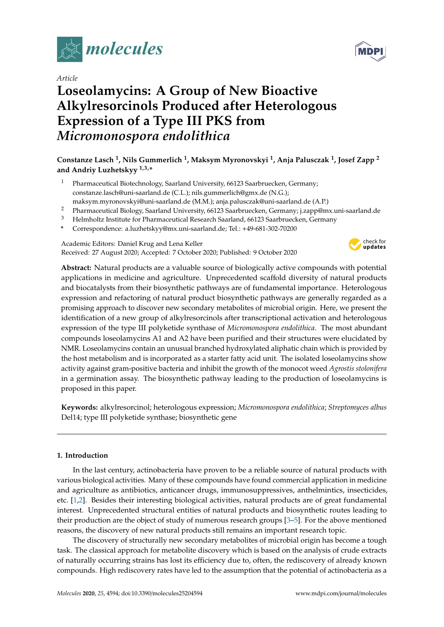

*Article*

# **Loseolamycins: A Group of New Bioactive Alkylresorcinols Produced after Heterologous Expression of a Type III PKS from** *Micromonospora endolithica*

# **Constanze Lasch <sup>1</sup> , Nils Gummerlich <sup>1</sup> , Maksym Myronovskyi <sup>1</sup> , Anja Palusczak <sup>1</sup> , Josef Zapp <sup>2</sup> and Andriy Luzhetskyy 1,3,\***

- <sup>1</sup> Pharmaceutical Biotechnology, Saarland University, 66123 Saarbruecken, Germany; constanze.lasch@uni-saarland.de (C.L.); nils.gummerlich@gmx.de (N.G.);
- maksym.myronovskyi@uni-saarland.de (M.M.); anja.palusczak@uni-saarland.de (A.P.)
- <sup>2</sup> Pharmaceutical Biology, Saarland University, 66123 Saarbruecken, Germany; j.zapp@mx.uni-saarland.de
- <sup>3</sup> Helmholtz Institute for Pharmaceutical Research Saarland, 66123 Saarbruecken, Germany
- **\*** Correspondence: a.luzhetskyy@mx.uni-saarland.de; Tel.: +49-681-302-70200

Academic Editors: Daniel Krug and Lena Keller Received: 27 August 2020; Accepted: 7 October 2020; Published: 9 October 2020



**Abstract:** Natural products are a valuable source of biologically active compounds with potential applications in medicine and agriculture. Unprecedented scaffold diversity of natural products and biocatalysts from their biosynthetic pathways are of fundamental importance. Heterologous expression and refactoring of natural product biosynthetic pathways are generally regarded as a promising approach to discover new secondary metabolites of microbial origin. Here, we present the identification of a new group of alkylresorcinols after transcriptional activation and heterologous expression of the type III polyketide synthase of *Micromonospora endolithica*. The most abundant compounds loseolamycins A1 and A2 have been purified and their structures were elucidated by NMR. Loseolamycins contain an unusual branched hydroxylated aliphatic chain which is provided by the host metabolism and is incorporated as a starter fatty acid unit. The isolated loseolamycins show activity against gram-positive bacteria and inhibit the growth of the monocot weed *Agrostis stolonifera* in a germination assay. The biosynthetic pathway leading to the production of loseolamycins is proposed in this paper.

**Keywords:** alkylresorcinol; heterologous expression; *Micromonospora endolithica*; *Streptomyces albus* Del14; type III polyketide synthase; biosynthetic gene

## **1. Introduction**

In the last century, actinobacteria have proven to be a reliable source of natural products with various biological activities. Many of these compounds have found commercial application in medicine and agriculture as antibiotics, anticancer drugs, immunosuppressives, anthelmintics, insecticides, etc. [\[1](#page-8-0)[,2\]](#page-8-1). Besides their interesting biological activities, natural products are of great fundamental interest. Unprecedented structural entities of natural products and biosynthetic routes leading to their production are the object of study of numerous research groups [\[3](#page-8-2)[–5\]](#page-8-3). For the above mentioned reasons, the discovery of new natural products still remains an important research topic.

The discovery of structurally new secondary metabolites of microbial origin has become a tough task. The classical approach for metabolite discovery which is based on the analysis of crude extracts of naturally occurring strains has lost its efficiency due to, often, the rediscovery of already known compounds. High rediscovery rates have led to the assumption that the potential of actinobacteria as a

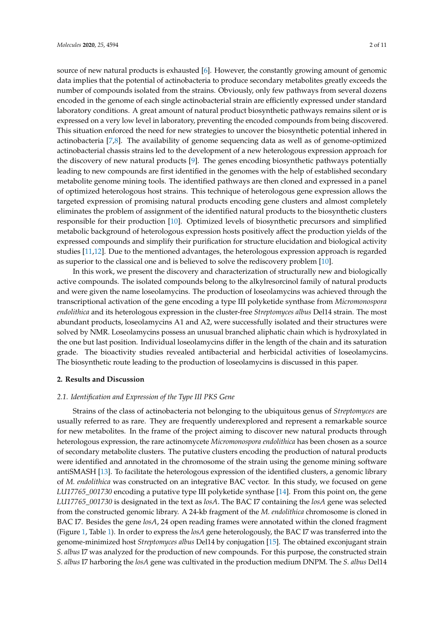source of new natural products is exhausted [\[6\]](#page-9-0). However, the constantly growing amount of genomic data implies that the potential of actinobacteria to produce secondary metabolites greatly exceeds the number of compounds isolated from the strains. Obviously, only few pathways from several dozens encoded in the genome of each single actinobacterial strain are efficiently expressed under standard laboratory conditions. A great amount of natural product biosynthetic pathways remains silent or is expressed on a very low level in laboratory, preventing the encoded compounds from being discovered. This situation enforced the need for new strategies to uncover the biosynthetic potential inhered in actinobacteria [\[7,](#page-9-1)[8\]](#page-9-2). The availability of genome sequencing data as well as of genome-optimized actinobacterial chassis strains led to the development of a new heterologous expression approach for the discovery of new natural products [\[9\]](#page-9-3). The genes encoding biosynthetic pathways potentially leading to new compounds are first identified in the genomes with the help of established secondary metabolite genome mining tools. The identified pathways are then cloned and expressed in a panel of optimized heterologous host strains. This technique of heterologous gene expression allows the targeted expression of promising natural products encoding gene clusters and almost completely eliminates the problem of assignment of the identified natural products to the biosynthetic clusters responsible for their production [\[10\]](#page-9-4). Optimized levels of biosynthetic precursors and simplified metabolic background of heterologous expression hosts positively affect the production yields of the expressed compounds and simplify their purification for structure elucidation and biological activity studies [\[11](#page-9-5)[,12\]](#page-9-6). Due to the mentioned advantages, the heterologous expression approach is regarded as superior to the classical one and is believed to solve the rediscovery problem [\[10\]](#page-9-4).

In this work, we present the discovery and characterization of structurally new and biologically active compounds. The isolated compounds belong to the alkylresorcinol family of natural products and were given the name loseolamycins. The production of loseolamycins was achieved through the transcriptional activation of the gene encoding a type III polyketide synthase from *Micromonospora endolithica* and its heterologous expression in the cluster-free *Streptomyces albus* Del14 strain. The most abundant products, loseolamycins A1 and A2, were successfully isolated and their structures were solved by NMR. Loseolamycins possess an unusual branched aliphatic chain which is hydroxylated in the one but last position. Individual loseolamycins differ in the length of the chain and its saturation grade. The bioactivity studies revealed antibacterial and herbicidal activities of loseolamycins. The biosynthetic route leading to the production of loseolamycins is discussed in this paper.

#### **2. Results and Discussion**

#### *2.1. Identification and Expression of the Type III PKS Gene*

Strains of the class of actinobacteria not belonging to the ubiquitous genus of *Streptomyces* are usually referred to as rare. They are frequently underexplored and represent a remarkable source for new metabolites. In the frame of the project aiming to discover new natural products through heterologous expression, the rare actinomycete *Micromonospora endolithica* has been chosen as a source of secondary metabolite clusters. The putative clusters encoding the production of natural products were identified and annotated in the chromosome of the strain using the genome mining software antiSMASH [\[13\]](#page-9-7). To facilitate the heterologous expression of the identified clusters, a genomic library of *M. endolithica* was constructed on an integrative BAC vector. In this study, we focused on gene *LU17765\_001730* encoding a putative type III polyketide synthase [\[14\]](#page-9-8). From this point on, the gene *LU17765\_001730* is designated in the text as *losA*. The BAC I7 containing the *losA* gene was selected from the constructed genomic library. A 24-kb fragment of the *M. endolithica* chromosome is cloned in BAC I7. Besides the gene *losA*, 24 open reading frames were annotated within the cloned fragment (Figure [1,](#page-2-0) Table [1\)](#page-2-1). In order to express the *losA* gene heterologously, the BAC I7 was transferred into the genome-minimized host *Streptomyces albus* Del14 by conjugation [\[15\]](#page-9-9). The obtained exconjugant strain *S. albus* I7 was analyzed for the production of new compounds. For this purpose, the constructed strain *S. albus* I7 harboring the *losA* gene was cultivated in the production medium DNPM. The *S. albus* Del14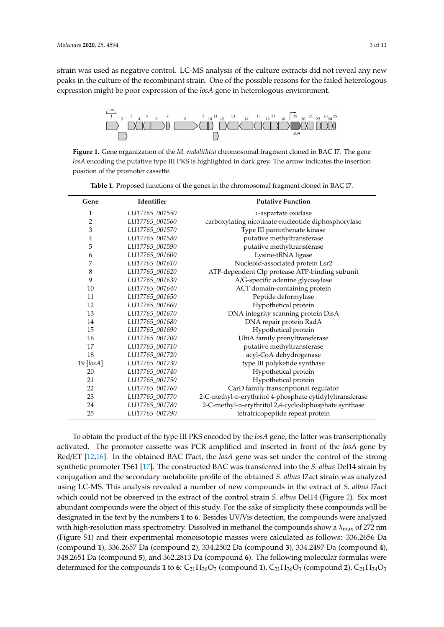strain was used as negative control. LC-MS analysis of the culture extracts did not reveal any new peaks in the culture of the recombinant strain. One of the possible reasons for the failed heterologous expression might be poor expression of the *losA* gene in heterologous environment.

<span id="page-2-0"></span>

*losA* encoding the putative type III PKS is highlighted in dark grey. The arrow indicates the insertion position of the promoter cassette. **Figure 1.** Gene organization of the *M. endolithica* chromosomal fragment cloned in BAC I7. The gene

| Gene           | Identifier     | <b>Putative Function</b>                                 |  |  |  |
|----------------|----------------|----------------------------------------------------------|--|--|--|
| 1              | LU17765_001550 | L-aspartate oxidase                                      |  |  |  |
| $\overline{2}$ | LU17765_001560 | carboxylating nicotinate-nucleotide diphosphorylase      |  |  |  |
| 3              | LU17765_001570 | Type III pantothenate kinase                             |  |  |  |
| 4              | LU17765_001580 | putative methyltransferase                               |  |  |  |
| 5              | LU17765_001590 | putative methyltransferase                               |  |  |  |
| 6              | LU17765_001600 | Lysine-tRNA ligase                                       |  |  |  |
| 7              | LU17765_001610 | Nucleoid-associated protein Lsr2                         |  |  |  |
| 8              | LU17765_001620 | ATP-dependent Clp protease ATP-binding subunit           |  |  |  |
| 9              | LU17765_001630 | A/G-specific adenine glycosylase                         |  |  |  |
| 10             | LU17765_001640 | ACT domain-containing protein                            |  |  |  |
| 11             | LU17765_001650 | Peptide deformylase                                      |  |  |  |
| 12             | LU17765_001660 | Hypothetical protein                                     |  |  |  |
| 13             | LU17765_001670 | DNA integrity scanning protein DisA                      |  |  |  |
| 14             | LU17765_001680 | DNA repair protein RadA                                  |  |  |  |
| 15             | LU17765_001690 | Hypothetical protein                                     |  |  |  |
| 16             | LU17765_001700 | UbiA family prenyltransferase                            |  |  |  |
| 17             | LU17765_001710 | putative methyltransferase                               |  |  |  |
| 18             | LU17765_001720 | acyl-CoA dehydrogenase                                   |  |  |  |
| 19 [losA]      | LU17765_001730 | type III polyketide synthase                             |  |  |  |
| 20             | LU17765_001740 | Hypothetical protein                                     |  |  |  |
| 21             | LU17765_001750 | Hypothetical protein                                     |  |  |  |
| 22             | LU17765_001760 | CarD family transcriptional regulator                    |  |  |  |
| 23             | LU17765_001770 | 2-C-methyl-D-erythritol 4-phosphate cytidylyltransferase |  |  |  |
| 24             | LU17765_001780 | 2-C-methyl-p-erythritol 2,4-cyclodiphosphate synthase    |  |  |  |
| 25             | LU17765_001790 | tetratricopeptide repeat protein                         |  |  |  |

<span id="page-2-1"></span>Table 1. Proposed functions of the genes in the chromosomal fragment cloned in BAC I7.

To obtain the product of the type III PKS encoded by the *losA* gene, the latter was transcriptionally activated. The promoter cassette was PCR amplified and inserted in front of the *losA* gene by Red/ET [\[12](#page-9-6)[,16\]](#page-9-10). In the obtained BAC I7act, the *losA* gene was set under the control of the strong synthetic promoter TS61 [\[17\]](#page-9-11). The constructed BAC was transferred into the *S. albus* Del14 strain by using LC-MS. This analysis revealed a number of new compounds in the extract of *S. albus* I7act which could not be observed in the extract of the control strain *S. albus* Del14 (Figure [2\)](#page-3-0). Six most abundant compounds were the object of this study. For the sake of simplicity these compounds will be designated in the text by the numbers 1 to 6. Besides UV/Vis detection, the compounds were analyzed with high-resolution mass spectrometry. Dissolved in methanol the compounds show a  $\lambda_{\max}$  of 272 nm (Figure S1) and their experimental monoisotopic masses were calculated as follows: 336.2656 Da (compound 1), 336.2657 Da (compound 2), 334.2502 Da (compound 3), 334.2497 Da (compound 4), 348.2651 Da (compound 5), and 362.2813 Da (compound 6). The following molecular formulas were determined for the compounds 1 to 6:  $C_{21}H_{36}O_3$  (compound 1),  $C_{21}H_{36}O_3$  (compound 2),  $C_{21}H_{34}O_3$ conjugation and the secondary metabolite profile of the obtained *S. albus* I7act strain was analyzed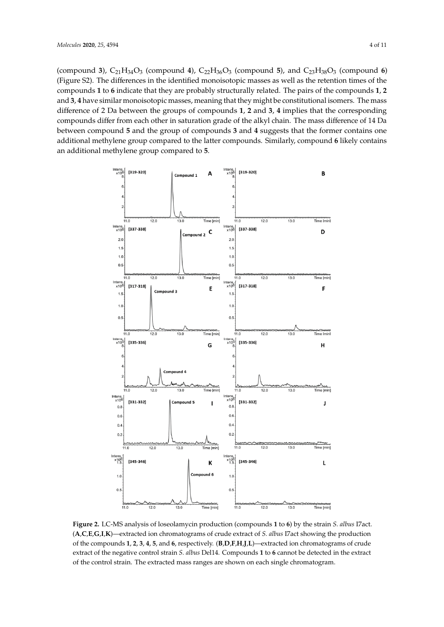(compound 3),  $C_{21}H_{34}O_3$  (compound 4),  $C_{22}H_{36}O_3$  (compound 5), and  $C_{23}H_{38}O_3$  (compound 6) (Figure S2). The differences in the identified monoisotopic masses as well as the retention times of the compounds 1 to 6 indicate that they are probably structurally related. The pairs of the compounds 1, 2 and 3, 4 have similar monoisotopic masses, meaning that they might be constitutional isomers. The mass difference of 2 Da between the groups of compounds 1, 2 and 3, 4 implies that the corresponding compounds differ from each other in saturation grade of the alkyl chain. The mass difference of 14 Da between compound **5** and the group of compounds **3** and **4** suggests that the former contains one additional methylene group compared to the latter compounds. Similarly, compound 6 likely contains an additional methylene group compared to **5**.

<span id="page-3-0"></span>

Figure 2. LC-MS analysis of loseolamycin production (compounds 1 to 6) by the strain S. albus I7 act. (A,C,E,G,I,K)—extracted ion chromatograms of crude extract of S. albus I7act showing the production of the compounds 1, 2, 3, 4, 5, and 6, respectively. (B,D,F,H,J,L)—extracted ion chromatograms of crude extract of the negative control strain S. *albus* Del14. Compounds **1** to **6** cannot be detected in the extract of the control strain. The extracted mass ranges are shown on each single chromatogram.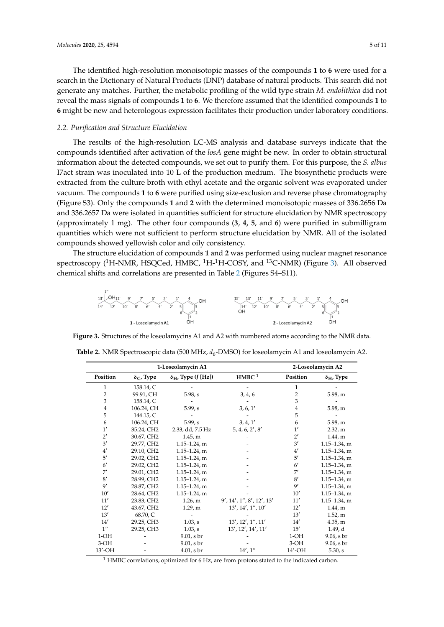The identified high-resolution monoisotopic masses of the compounds 1 to 6 were used for a search in the Dictionary of Natural Products (DNP) database of natural products. This search did not generate any matches. Further, the metabolic profiling of the wild type strain *M. endolithica* did not reveal the mass signals of compounds **1** to **6**. We therefore assumed that the identified compounds **1** to **6**. **6** might be new and heterologous expression facilitates their production under laboratory conditions.

# *2.2. Purification and Structure Elucidation 2.2. Purification and Structure Elucidation*

The results of the high-resolution LC-MS analysis and database surveys indicate that the The results of the high-resolution LC-MS analysis and database surveys indicate that the compounds identified after activation of the *losA* gene might be new. In order to obtain structural compounds identified after activation of the *losA* gene might be new. In order to obtain structural information about the detected compounds, we set out to purify them. For this purpose, the *S. albus* information about the detected compounds, we set out to purify them. For this purpose, the *S. albus* I7act strain was inoculated into 10 L of the production medium. The biosynthetic products were I7act strain was inoculated into 10 L of the production medium. The biosynthetic products were extracted from the culture broth with ethyl acetate and the organic solvent was evaporated under extracted from the culture broth with ethyl acetate and the organic solvent was evaporated under vacuum. The compounds **1** to **6** were purified using size-exclusion and reverse phase chromatography vacuum. The compounds **1** to **6** were purified using size-exclusion and reverse phase (Figure S3). Only the compounds **1** and **2** with the determined monoisotopic masses of 336.2656 Da chromatography (Figure S3). Only the compounds **1** and **2** with the determined monoisotopic and 336.2657 Da were isolated in quantities sufficient for structure elucidation by NMR spectroscopy (approximately 1 mg). The other four compounds (3, 4, 5, and 6) were purified in submilligram quantities which were not sufficient to perform structure elucidation by NMR. All of the isolated compounds showed yellowish color and oily consistency.

<span id="page-4-0"></span>The structure elucidation of compounds **1** and **2** was performed using nuclear magnet resonance The structure elucidation of compounds **1** and **2** was performed using nuclear magnet spectroscopy (<sup>1</sup>H-NMR, HSQCed, HMBC, <sup>1</sup>H-<sup>1</sup>H-COSY, and <sup>13</sup>C-NMR) (Figure [3\)](#page-4-0). All observed chemical shifts and correlations are presented in Table [2](#page-4-1) (Figures S4–S11).



**Figure 3.** Structures of the loseolamycins A1 and A2 with numbered atoms according to the NMR **Figure 3.** Structures of the loseolamycins A1 and A2 with numbered atoms according to the NMR data.

| 1-Loseolamycin A1  |                         |                                  | 2-Loseolamycin A2          |                |                         |
|--------------------|-------------------------|----------------------------------|----------------------------|----------------|-------------------------|
| Position           | $\delta_{\rm C}$ , Type | $\delta_{\rm H}$ , Type (J [Hz]) | $\mathbf{HMBC}$ $^1$       | Position       | $\delta_{\rm H}$ , Type |
| 1                  | 158.14, C               |                                  |                            | 1              |                         |
| 2                  | 99.91, CH               | 5.98, s                          | 3, 4, 6                    | $\overline{2}$ | 5.98, m                 |
| 3                  | 158.14, C               |                                  |                            | 3              |                         |
| 4                  | 106.24, CH              | 5.99, s                          | 3, 6, 1'                   | 4              | 5.98, m                 |
| 5                  | 144.15, C               |                                  |                            | 5              |                         |
| 6                  | 106.24, CH              | 5.99, s                          | 3, 4, 1'                   | 6              | 5.98, m                 |
| 1'                 | 35.24, CH2              | 2.33, dd, 7.5 Hz                 | 5, 4, 6, 2', 8'            | 1'             | 2.32, m                 |
| $2^{\prime}$       | 30.67, CH2              | 1.45, m                          |                            | $2^{\prime}$   | 1.44, m                 |
| 3'                 | 29.77, CH2              | $1.15 - 1.24$ , m                |                            | 3'             | $1.15 - 1.34$ , m       |
| 4'                 | 29.10, CH2              | $1.15 - 1.24$ , m                |                            | 4'             | $1.15 - 1.34$ , m       |
| 5'                 | 29.02, CH2              | $1.15 - 1.24$ , m                |                            | 5'             | $1.15 - 1.34$ , m       |
| $6^{\prime}$       | 29.02, CH2              | $1.15 - 1.24$ , m                |                            | $6^{\prime}$   | $1.15 - 1.34$ , m       |
| 7'                 | 29.01, CH2              | $1.15 - 1.24$ , m                |                            | 7'             | $1.15 - 1.34$ , m       |
| 8'                 | 28.99, CH2              | $1.15 - 1.24$ , m                |                            | 8'             | $1.15 - 1.34$ , m       |
| 9'                 | 28.87, CH2              | $1.15 - 1.24$ , m                |                            | 9'             | $1.15 - 1.34$ , m       |
| 10'                | 28.64, CH2              | $1.15 - 1.24$ , m                |                            | 10'            | $1.15 - 1.34$ , m       |
| 11'                | 23.83, CH2              | 1.26, m                          | 9', 14', 1'', 8', 12', 13' | 11'            | $1.15 - 1.34$ , m       |
| 12'                | 43.67, CH2              | 1.29, m                          | 13', 14', 1'', 10'         | 12'            | 1.44, m                 |
| 13'                | 68.70, C                |                                  |                            | 13'            | 1.52, m                 |
| 14'                | 29.25, CH3              | 1.03, s                          | 13', 12', 1'', 11'         | 14'            | 4.35, m                 |
| $1^{\prime\prime}$ | 29.25, CH3              | 1.03, s                          | 13', 12', 14', 11'         | 15'            | 1.49, d                 |
| $1-OH$             |                         | 9.01, s br                       |                            | $1-OH$         | 9.06, s br              |
| $3-OH$             |                         | 9.01, s br                       |                            | $3-OH$         | 9.06, s br              |
| 13'-OH             |                         | $4.01$ , s br                    | 14', 1''                   | 14'-OH         | 5.30, s                 |

<span id="page-4-1"></span>Table 2. NMR Spectroscopic data (500 MHz,  $d_6$ -DMSO) for loseolamycin A1 and loseolamycin A2.

 $1$  HMBC correlations, optimized for 6 Hz, are from protons stated to the indicated carbon.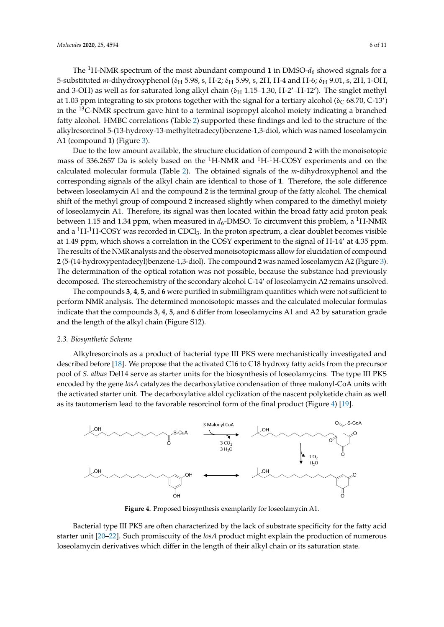The <sup>1</sup>H-NMR spectrum of the most abundant compound **1** in DMSO- $d_6$  showed signals for a 5-substituted *m*-dihydroxyphenol (δ<sub>H</sub> 5.98, s, H-2; δ<sub>H</sub> 5.99, s, 2H, H-4 and H-6; δ<sub>H</sub> 9.01, s, 2H, 1-OH, and 3-OH) as well as for saturated long alkyl chain ( $\delta_H$  1.15–1.30, H-2'-H-12'). The singlet methyl at 1.03 ppm integrating to six protons together with the signal for a tertiary alcohol ( $\delta_C$  68.70, C-13') in the  $^{13}$ C-NMR spectrum gave hint to a terminal isopropyl alcohol moiety indicating a branched fatty alcohol. HMBC correlations (Table [2\)](#page-4-1) supported these findings and led to the structure of the alkylresorcinol 5-(13-hydroxy-13-methyltetradecyl)benzene-1,3-diol, which was named loseolamycin A1 (compound **1**) (Figure [3\)](#page-4-0).

Due to the low amount available, the structure elucidation of compound **2** with the monoisotopic mass of 336.2657 Da is solely based on the  ${}^{1}H$ -NMR and  ${}^{1}H$ -H-COSY experiments and on the calculated molecular formula (Table [2\)](#page-4-1). The obtained signals of the *m*-dihydroxyphenol and the corresponding signals of the alkyl chain are identical to those of **1**. Therefore, the sole difference between loseolamycin A1 and the compound **2** is the terminal group of the fatty alcohol. The chemical shift of the methyl group of compound **2** increased slightly when compared to the dimethyl moiety of loseolamycin A1. Therefore, its signal was then located within the broad fatty acid proton peak between 1.15 and 1.34 ppm, when measured in  $d_6$ -DMSO. To circumvent this problem, a <sup>1</sup>H-NMR and a  ${}^{1}H$ - ${}^{1}H$ -COSY was recorded in CDCl<sub>3</sub>. In the proton spectrum, a clear doublet becomes visible at 1.49 ppm, which shows a correlation in the COSY experiment to the signal of H-14' at 4.35 ppm. The results of the NMR analysis and the observed monoisotopic mass allow for elucidation of compound **2** (5-(14-hydroxypentadecyl)benzene-1,3-diol). The compound **2** was named loseolamycin A2 (Figure [3\)](#page-4-0). The determination of the optical rotation was not possible, because the substance had previously decomposed. The stereochemistry of the secondary alcohol C-14' of loseolamycin A2 remains unsolved.

The compounds **3**, **4**, **5**, and **6** were purified in submilligram quantities which were not sufficient to perform NMR analysis. The determined monoisotopic masses and the calculated molecular formulas indicate that the compounds **3**, **4**, **5**, and **6** differ from loseolamycins A1 and A2 by saturation grade and the length of the alkyl chain (Figure S12).

#### *2.3. Biosynthetic Scheme*

Alkylresorcinols as a product of bacterial type III PKS were mechanistically investigated and described before [\[18\]](#page-9-12). We propose that the activated C16 to C18 hydroxy fatty acids from the precursor pool of *S. albus* Del14 serve as starter units for the biosynthesis of loseolamycins. The type III PKS encoded by the gene *losA* catalyzes the decarboxylative condensation of three malonyl-CoA units with the activated starter unit. The decarboxylative aldol cyclization of the nascent polyketide chain as well as its tautomerism lead to the favorable resorcinol form of the final product (Figure [4\)](#page-5-0) [\[19\]](#page-9-13).

<span id="page-5-0"></span>

**Figure 4.** Proposed biosynthesis exemplarily for loseolamycin A1.

**Bacterial type III PKS are often characterized by the lack of substrate specificity for the fatty acid** starter unit [\[20](#page-9-14)[–22\]](#page-9-15). Such promiscuity of the *losA* product might explain the production of numerous loseolamycin derivatives which differ in the length of their alkyl chain or its saturation state.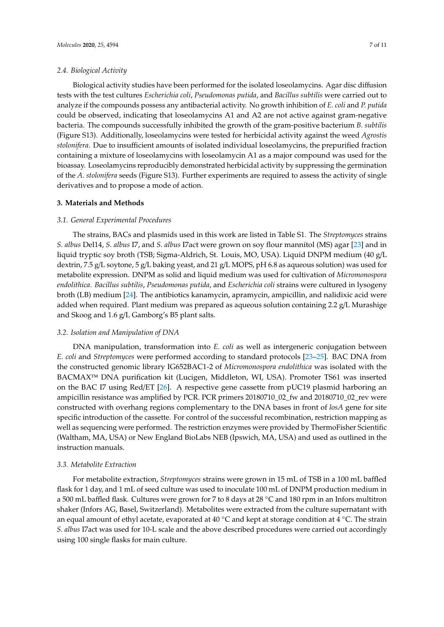#### *2.4. Biological Activity*

Biological activity studies have been performed for the isolated loseolamycins. Agar disc diffusion tests with the test cultures *Escherichia coli*, *Pseudomonas putida*, and *Bacillus subtilis* were carried out to analyze if the compounds possess any antibacterial activity. No growth inhibition of *E. coli* and *P. putida* could be observed, indicating that loseolamycins A1 and A2 are not active against gram-negative bacteria. The compounds successfully inhibited the growth of the gram-positive bacterium *B. subtilis* (Figure S13). Additionally, loseolamycins were tested for herbicidal activity against the weed *Agrostis stolonifera*. Due to insufficient amounts of isolated individual loseolamycins, the prepurified fraction containing a mixture of loseolamycins with loseolamycin A1 as a major compound was used for the bioassay. Loseolamycins reproducibly demonstrated herbicidal activity by suppressing the germination of the *A. stolonifera* seeds (Figure S13). Further experiments are required to assess the activity of single derivatives and to propose a mode of action.

#### **3. Materials and Methods**

#### *3.1. General Experimental Procedures*

The strains, BACs and plasmids used in this work are listed in Table S1. The *Streptomyces* strains *S. albus* Del14, *S. albus* I7, and *S. albus* I7act were grown on soy flour mannitol (MS) agar [\[23\]](#page-9-16) and in liquid tryptic soy broth (TSB; Sigma-Aldrich, St. Louis, MO, USA). Liquid DNPM medium (40 g/L dextrin, 7.5 g/L soytone, 5 g/L baking yeast, and 21 g/L MOPS, pH 6.8 as aqueous solution) was used for metabolite expression. DNPM as solid and liquid medium was used for cultivation of *Micromonospora endolithica*. *Bacillus subtilis*, *Pseudomonas putida*, and *Escherichia coli* strains were cultured in lysogeny broth (LB) medium [\[24\]](#page-9-17). The antibiotics kanamycin, apramycin, ampicillin, and nalidixic acid were added when required. Plant medium was prepared as aqueous solution containing 2.2 g/L Murashige and Skoog and 1.6 g/L Gamborg's B5 plant salts.

#### *3.2. Isolation and Manipulation of DNA*

DNA manipulation, transformation into *E. coli* as well as intergeneric conjugation between *E. coli* and *Streptomyces* were performed according to standard protocols [\[23–](#page-9-16)[25\]](#page-9-18). BAC DNA from the constructed genomic library IG652BAC1-2 of *Micromonospora endolithica* was isolated with the BACMAX™ DNA purification kit (Lucigen, Middleton, WI, USA). Promoter TS61 was inserted on the BAC I7 using Red/ET [\[26\]](#page-10-0). A respective gene cassette from pUC19 plasmid harboring an ampicillin resistance was amplified by PCR. PCR primers 20180710\_02\_fw and 20180710\_02\_rev were constructed with overhang regions complementary to the DNA bases in front of *losA* gene for site specific introduction of the cassette. For control of the successful recombination, restriction mapping as well as sequencing were performed. The restriction enzymes were provided by ThermoFisher Scientific (Waltham, MA, USA) or New England BioLabs NEB (Ipswich, MA, USA) and used as outlined in the instruction manuals.

#### *3.3. Metabolite Extraction*

For metabolite extraction, *Streptomyces* strains were grown in 15 mL of TSB in a 100 mL baffled flask for 1 day, and 1 mL of seed culture was used to inoculate 100 mL of DNPM production medium in a 500 mL baffled flask. Cultures were grown for 7 to 8 days at 28 ◦C and 180 rpm in an Infors multitron shaker (Infors AG, Basel, Switzerland). Metabolites were extracted from the culture supernatant with an equal amount of ethyl acetate, evaporated at 40 ◦C and kept at storage condition at 4 ◦C. The strain *S. albus* I7act was used for 10-L scale and the above described procedures were carried out accordingly using 100 single flasks for main culture.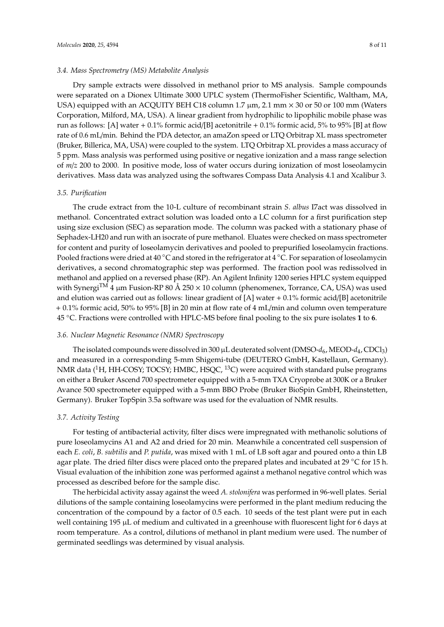#### *3.4. Mass Spectrometry (MS) Metabolite Analysis*

Dry sample extracts were dissolved in methanol prior to MS analysis. Sample compounds were separated on a Dionex Ultimate 3000 UPLC system (ThermoFisher Scientific, Waltham, MA, USA) equipped with an ACQUITY BEH C18 column 1.7  $\mu$ m, 2.1 mm  $\times$  30 or 50 or 100 mm (Waters Corporation, Milford, MA, USA). A linear gradient from hydrophilic to lipophilic mobile phase was run as follows: [A] water + 0.1% formic acid/[B] acetonitrile + 0.1% formic acid, 5% to 95% [B] at flow rate of 0.6 mL/min. Behind the PDA detector, an amaZon speed or LTQ Orbitrap XL mass spectrometer (Bruker, Billerica, MA, USA) were coupled to the system. LTQ Orbitrap XL provides a mass accuracy of 5 ppm. Mass analysis was performed using positive or negative ionization and a mass range selection of *m*/*z* 200 to 2000. In positive mode, loss of water occurs during ionization of most loseolamycin derivatives. Mass data was analyzed using the softwares Compass Data Analysis 4.1 and Xcalibur 3.

#### *3.5. Purification*

The crude extract from the 10-L culture of recombinant strain *S. albus* I7act was dissolved in methanol. Concentrated extract solution was loaded onto a LC column for a first purification step using size exclusion (SEC) as separation mode. The column was packed with a stationary phase of Sephadex-LH20 and run with an isocrate of pure methanol. Eluates were checked on mass spectrometer for content and purity of loseolamycin derivatives and pooled to prepurified loseolamycin fractions. Pooled fractions were dried at 40 °C and stored in the refrigerator at 4 °C. For separation of loseolamycin derivatives, a second chromatographic step was performed. The fraction pool was redissolved in methanol and applied on a reversed phase (RP). An Agilent Infinity 1200 series HPLC system equipped with Synergi<sup>TM</sup> 4 µm Fusion-RP 80 Å 250  $\times$  10 column (phenomenex, Torrance, CA, USA) was used and elution was carried out as follows: linear gradient of [A] water  $+ 0.1\%$  formic acid/[B] acetonitrile + 0.1% formic acid, 50% to 95% [B] in 20 min at flow rate of 4 mL/min and column oven temperature 45 ◦C. Fractions were controlled with HPLC-MS before final pooling to the six pure isolates **1** to **6**.

#### *3.6. Nuclear Magnetic Resonance (NMR) Spectroscopy*

The isolated compounds were dissolved in 300  $\mu$ L deuterated solvent (DMSO- $d_6$ , MEOD- $d_4$ , CDCl<sub>3</sub>) and measured in a corresponding 5-mm Shigemi-tube (DEUTERO GmbH, Kastellaun, Germany). NMR data  $(^1H$ , HH-COSY; TOCSY; HMBC, HSQC,  $^{13}$ C) were acquired with standard pulse programs on either a Bruker Ascend 700 spectrometer equipped with a 5-mm TXA Cryoprobe at 300K or a Bruker Avance 500 spectrometer equipped with a 5-mm BBO Probe (Bruker BioSpin GmbH, Rheinstetten, Germany). Bruker TopSpin 3.5a software was used for the evaluation of NMR results.

#### *3.7. Activity Testing*

For testing of antibacterial activity, filter discs were impregnated with methanolic solutions of pure loseolamycins A1 and A2 and dried for 20 min. Meanwhile a concentrated cell suspension of each *E. coli*, *B. subtilis* and *P. putida*, was mixed with 1 mL of LB soft agar and poured onto a thin LB agar plate. The dried filter discs were placed onto the prepared plates and incubated at 29 °C for 15 h. Visual evaluation of the inhibition zone was performed against a methanol negative control which was processed as described before for the sample disc.

The herbicidal activity assay against the weed *A. stolonifera* was performed in 96-well plates. Serial dilutions of the sample containing loseolamycins were performed in the plant medium reducing the concentration of the compound by a factor of 0.5 each. 10 seeds of the test plant were put in each well containing 195 µL of medium and cultivated in a greenhouse with fluorescent light for 6 days at room temperature. As a control, dilutions of methanol in plant medium were used. The number of germinated seedlings was determined by visual analysis.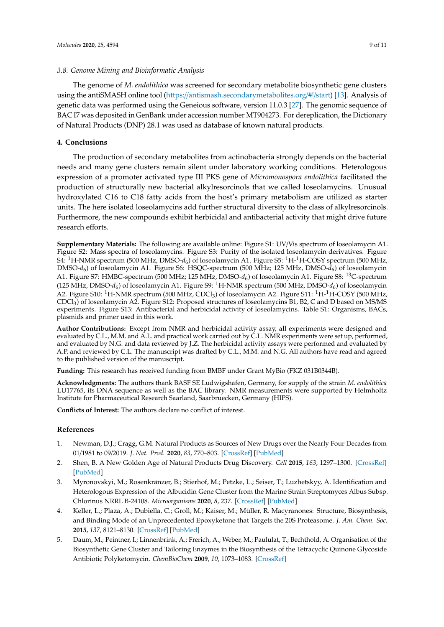#### *3.8. Genome Mining and Bioinformatic Analysis*

The genome of *M. endolithica* was screened for secondary metabolite biosynthetic gene clusters using the antiSMASH online tool (https://[antismash.secondarymetabolites.org](https://antismash.secondarymetabolites.org/#!/start)/#!/start) [\[13\]](#page-9-7). Analysis of genetic data was performed using the Geneious software, version 11.0.3 [\[27\]](#page-10-1). The genomic sequence of BAC I7 was deposited in GenBank under accession number MT904273. For dereplication, the Dictionary of Natural Products (DNP) 28.1 was used as database of known natural products.

# **4. Conclusions**

The production of secondary metabolites from actinobacteria strongly depends on the bacterial needs and many gene clusters remain silent under laboratory working conditions. Heterologous expression of a promoter activated type III PKS gene of *Micromonospora endolithica* facilitated the production of structurally new bacterial alkylresorcinols that we called loseolamycins. Unusual hydroxylated C16 to C18 fatty acids from the host's primary metabolism are utilized as starter units. The here isolated loseolamycins add further structural diversity to the class of alkylresorcinols. Furthermore, the new compounds exhibit herbicidal and antibacterial activity that might drive future research efforts.

**Supplementary Materials:** The following are available online: Figure S1: UV/Vis spectrum of loseolamycin A1. Figure S2: Mass spectra of loseolamycins. Figure S3: Purity of the isolated loseolamycin derivatives. Figure S4: <sup>1</sup>H-NMR spectrum (500 MHz, DMSO- $d_6$ ) of loseolamycin A1. Figure S5: <sup>1</sup>H-<sup>1</sup>H-COSY spectrum (500 MHz, DMSO-*d*<sup>6</sup> ) of loseolamycin A1. Figure S6: HSQC-spectrum (500 MHz; 125 MHz, DMSO-*d*<sup>6</sup> ) of loseolamycin A1. Figure S7: HMBC-spectrum (500 MHz; 125 MHz, DMSO- $d_6$ ) of loseolamycin A1. Figure S8: <sup>13</sup>C-spectrum (125 MHz, DMSO- $d_6$ ) of loseolamycin A1. Figure S9: <sup>1</sup>H-NMR spectrum (500 MHz, DMSO- $d_6$ ) of loseolamycin A2. Figure S10: <sup>1</sup>H-NMR spectrum (500 MHz, CDCl<sub>3</sub>) of loseolamycin A2. Figure S11: <sup>1</sup>H-<sup>1</sup>H-COSY (500 MHz, CDCl<sup>3</sup> ) of loseolamycin A2. Figure S12: Proposed structures of loseolamycins B1, B2, C and D based on MS/MS experiments. Figure S13: Antibacterial and herbicidal activity of loseolamycins. Table S1: Organisms, BACs, plasmids and primer used in this work.

**Author Contributions:** Except from NMR and herbicidal activity assay, all experiments were designed and evaluated by C.L., M.M. and A.L. and practical work carried out by C.L. NMR experiments were set up, performed, and evaluated by N.G. and data reviewed by J.Z. The herbicidal activity assays were performed and evaluated by A.P. and reviewed by C.L. The manuscript was drafted by C.L., M.M. and N.G. All authors have read and agreed to the published version of the manuscript.

**Funding:** This research has received funding from BMBF under Grant MyBio (FKZ 031B0344B).

**Acknowledgments:** The authors thank BASF SE Ludwigshafen, Germany, for supply of the strain *M. endolithica* LU17765, its DNA sequence as well as the BAC library. NMR measurements were supported by Helmholtz Institute for Pharmaceutical Research Saarland, Saarbruecken, Germany (HIPS).

**Conflicts of Interest:** The authors declare no conflict of interest.

## **References**

- <span id="page-8-0"></span>1. Newman, D.J.; Cragg, G.M. Natural Products as Sources of New Drugs over the Nearly Four Decades from 01/1981 to 09/2019. *J. Nat. Prod.* **2020**, *83*, 770–803. [\[CrossRef\]](http://dx.doi.org/10.1021/acs.jnatprod.9b01285) [\[PubMed\]](http://www.ncbi.nlm.nih.gov/pubmed/32162523)
- <span id="page-8-1"></span>2. Shen, B. A New Golden Age of Natural Products Drug Discovery. *Cell* **2015**, *163*, 1297–1300. [\[CrossRef\]](http://dx.doi.org/10.1016/j.cell.2015.11.031) [\[PubMed\]](http://www.ncbi.nlm.nih.gov/pubmed/26638061)
- <span id="page-8-2"></span>3. Myronovskyi, M.; Rosenkränzer, B.; Stierhof, M.; Petzke, L.; Seiser, T.; Luzhetskyy, A. Identification and Heterologous Expression of the Albucidin Gene Cluster from the Marine Strain Streptomyces Albus Subsp. Chlorinus NRRL B-24108. *Microorganisms* **2020**, *8*, 237. [\[CrossRef\]](http://dx.doi.org/10.3390/microorganisms8020237) [\[PubMed\]](http://www.ncbi.nlm.nih.gov/pubmed/32050690)
- 4. Keller, L.; Plaza, A.; Dubiella, C.; Groll, M.; Kaiser, M.; Müller, R. Macyranones: Structure, Biosynthesis, and Binding Mode of an Unprecedented Epoxyketone that Targets the 20S Proteasome. *J. Am. Chem. Soc.* **2015**, *137*, 8121–8130. [\[CrossRef\]](http://dx.doi.org/10.1021/jacs.5b03833) [\[PubMed\]](http://www.ncbi.nlm.nih.gov/pubmed/26050527)
- <span id="page-8-3"></span>5. Daum, M.; Peintner, I.; Linnenbrink, A.; Frerich, A.; Weber, M.; Paululat, T.; Bechthold, A. Organisation of the Biosynthetic Gene Cluster and Tailoring Enzymes in the Biosynthesis of the Tetracyclic Quinone Glycoside Antibiotic Polyketomycin. *ChemBioChem* **2009**, *10*, 1073–1083. [\[CrossRef\]](http://dx.doi.org/10.1002/cbic.200800823)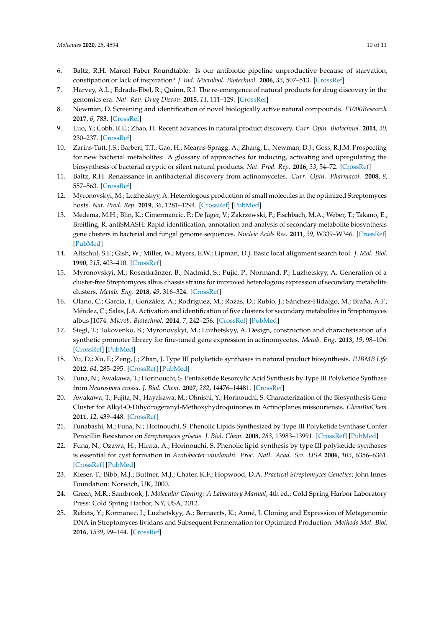- <span id="page-9-0"></span>6. Baltz, R.H. Marcel Faber Roundtable: Is our antibiotic pipeline unproductive because of starvation, constipation or lack of inspiration? *J. Ind. Microbiol. Biotechnol.* **2006**, *33*, 507–513. [\[CrossRef\]](http://dx.doi.org/10.1007/s10295-005-0077-9)
- <span id="page-9-1"></span>7. Harvey, A.L.; Edrada-Ebel, R.; Quinn, R.J. The re-emergence of natural products for drug discovery in the genomics era. *Nat. Rev. Drug Discov.* **2015**, *14*, 111–129. [\[CrossRef\]](http://dx.doi.org/10.1038/nrd4510)
- <span id="page-9-2"></span>8. Newman, D. Screening and identification of novel biologically active natural compounds. *F1000Research* **2017**, *6*, 783. [\[CrossRef\]](http://dx.doi.org/10.12688/f1000research.11221.1)
- <span id="page-9-3"></span>9. Luo, Y.; Cobb, R.E.; Zhao, H. Recent advances in natural product discovery. *Curr. Opin. Biotechnol.* **2014**, *30*, 230–237. [\[CrossRef\]](http://dx.doi.org/10.1016/j.copbio.2014.09.002)
- <span id="page-9-4"></span>10. Zarins-Tutt, J.S.; Barberi, T.T.; Gao, H.; Mearns-Spragg, A.; Zhang, L.; Newman, D.J.; Goss, R.J.M. Prospecting for new bacterial metabolites: A glossary of approaches for inducing, activating and upregulating the biosynthesis of bacterial cryptic or silent natural products. *Nat. Prod. Rep.* **2016**, *33*, 54–72. [\[CrossRef\]](http://dx.doi.org/10.1039/C5NP00111K)
- <span id="page-9-5"></span>11. Baltz, R.H. Renaissance in antibacterial discovery from actinomycetes. *Curr. Opin. Pharmacol.* **2008**, *8*, 557–563. [\[CrossRef\]](http://dx.doi.org/10.1016/j.coph.2008.04.008)
- <span id="page-9-6"></span>12. Myronovskyi, M.; Luzhetskyy, A. Heterologous production of small molecules in the optimized Streptomyces hosts. *Nat. Prod. Rep.* **2019**, *36*, 1281–1294. [\[CrossRef\]](http://dx.doi.org/10.1039/C9NP00023B) [\[PubMed\]](http://www.ncbi.nlm.nih.gov/pubmed/31453623)
- <span id="page-9-7"></span>13. Medema, M.H.; Blin, K.; Cimermancic, P.; De Jager, V.; Zakrzewski, P.; Fischbach, M.A.; Weber, T.; Takano, E.; Breitling, R. antiSMASH: Rapid identification, annotation and analysis of secondary metabolite biosynthesis gene clusters in bacterial and fungal genome sequences. *Nucleic Acids Res.* **2011**, *39*, W339–W346. [\[CrossRef\]](http://dx.doi.org/10.1093/nar/gkr466) [\[PubMed\]](http://www.ncbi.nlm.nih.gov/pubmed/21672958)
- <span id="page-9-8"></span>14. Altschul, S.F.; Gish, W.; Miller, W.; Myers, E.W.; Lipman, D.J. Basic local alignment search tool. *J. Mol. Biol.* **1990**, *215*, 403–410. [\[CrossRef\]](http://dx.doi.org/10.1016/S0022-2836(05)80360-2)
- <span id="page-9-9"></span>15. Myronovskyi, M.; Rosenkränzer, B.; Nadmid, S.; Pujic, P.; Normand, P.; Luzhetskyy, A. Generation of a cluster-free Streptomyces albus chassis strains for improved heterologous expression of secondary metabolite clusters. *Metab. Eng.* **2018**, *49*, 316–324. [\[CrossRef\]](http://dx.doi.org/10.1016/j.ymben.2018.09.004)
- <span id="page-9-10"></span>16. Olano, C.; García, I.; González, A.; Rodriguez, M.; Rozas, D.; Rubio, J.; Sánchez-Hidalgo, M.; Braña, A.F.; Méndez, C.; Salas, J.A. Activation and identification of five clusters for secondary metabolites in Streptomyces albus J1074. *Microb. Biotechnol.* **2014**, *7*, 242–256. [\[CrossRef\]](http://dx.doi.org/10.1111/1751-7915.12116) [\[PubMed\]](http://www.ncbi.nlm.nih.gov/pubmed/24593309)
- <span id="page-9-11"></span>17. Siegl, T.; Tokovenko, B.; Myronovskyi, M.; Luzhetskyy, A. Design, construction and characterisation of a synthetic promoter library for fine-tuned gene expression in actinomycetes. *Metab. Eng.* **2013**, *19*, 98–106. [\[CrossRef\]](http://dx.doi.org/10.1016/j.ymben.2013.07.006) [\[PubMed\]](http://www.ncbi.nlm.nih.gov/pubmed/23876413)
- <span id="page-9-12"></span>18. Yu, D.; Xu, F.; Zeng, J.; Zhan, J. Type III polyketide synthases in natural product biosynthesis. *IUBMB Life* **2012**, *64*, 285–295. [\[CrossRef\]](http://dx.doi.org/10.1002/iub.1005) [\[PubMed\]](http://www.ncbi.nlm.nih.gov/pubmed/22362498)
- <span id="page-9-13"></span>19. Funa, N.; Awakawa, T.; Horinouchi, S. Pentaketide Resorcylic Acid Synthesis by Type III Polyketide Synthase from *Neurospora crassa*. *J. Biol. Chem.* **2007**, *282*, 14476–14481. [\[CrossRef\]](http://dx.doi.org/10.1074/jbc.M701239200)
- <span id="page-9-14"></span>20. Awakawa, T.; Fujita, N.; Hayakawa, M.; Ohnishi, Y.; Horinouchi, S. Characterization of the Biosynthesis Gene Cluster for Alkyl-O-Dihydrogeranyl-Methoxyhydroquinones in Actinoplanes missouriensis. *ChemBioChem* **2011**, *12*, 439–448. [\[CrossRef\]](http://dx.doi.org/10.1002/cbic.201000628)
- 21. Funabashi, M.; Funa, N.; Horinouchi, S. Phenolic Lipids Synthesized by Type III Polyketide Synthase Confer Penicillin Resistance on *Streptomyces griseus*. *J. Biol. Chem.* **2008**, *283*, 13983–13991. [\[CrossRef\]](http://dx.doi.org/10.1074/jbc.M710461200) [\[PubMed\]](http://www.ncbi.nlm.nih.gov/pubmed/18364359)
- <span id="page-9-15"></span>22. Funa, N.; Ozawa, H.; Hirata, A.; Horinouchi, S. Phenolic lipid synthesis by type III polyketide synthases is essential for cyst formation in *Azotobacter vinelandii*. *Proc. Natl. Acad. Sci. USA* **2006**, *103*, 6356–6361. [\[CrossRef\]](http://dx.doi.org/10.1073/pnas.0511227103) [\[PubMed\]](http://www.ncbi.nlm.nih.gov/pubmed/16597676)
- <span id="page-9-16"></span>23. Kieser, T.; Bibb, M.J.; Buttner, M.J.; Chater, K.F.; Hopwood, D.A. *Practical Streptomyces Genetics*; John Innes Foundation: Norwich, UK, 2000.
- <span id="page-9-17"></span>24. Green, M.R.; Sambrook, J. *Molecular Cloning: A Laboratory Manual*, 4th ed.; Cold Spring Harbor Laboratory Press: Cold Spring Harbor, NY, USA, 2012.
- <span id="page-9-18"></span>25. Rebets, Y.; Kormanec, J.; Luzhetskyy, A.; Bernaerts, K.; Anné, J. Cloning and Expression of Metagenomic DNA in Streptomyces lividans and Subsequent Fermentation for Optimized Production. *Methods Mol. Biol.* **2016**, *1539*, 99–144. [\[CrossRef\]](http://dx.doi.org/10.1007/978-1-4939-6691-2_8)